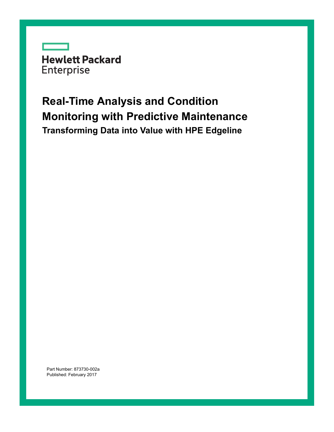**Hewlett Packard** Enterprise

## **Real-Time Analysis and Condition Monitoring with Predictive Maintenance Transforming Data into Value with HPE Edgeline**

Part Number: 873730-002a Published: February 2017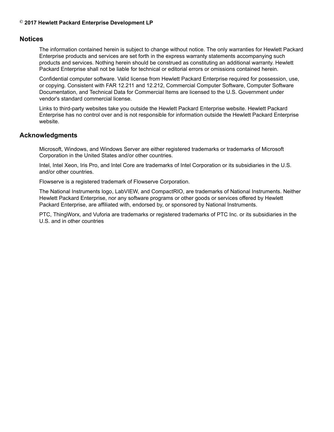#### $\odot$  2017 Hewlett Packard Enterprise Development LP

#### **Notices**

The information contained herein is subject to change without notice. The only warranties for Hewlett Packard Enterprise products and services are set forth in the express warranty statements accompanying such products and services. Nothing herein should be construed as constituting an additional warranty. Hewlett Packard Enterprise shall not be liable for technical or editorial errors or omissions contained herein.

Confidential computer software. Valid license from Hewlett Packard Enterprise required for possession, use, or copying. Consistent with FAR 12.211 and 12.212, Commercial Computer Software, Computer Software Documentation, and Technical Data for Commercial Items are licensed to the U.S. Government under vendor's standard commercial license.

Links to third-party websites take you outside the Hewlett Packard Enterprise website. Hewlett Packard Enterprise has no control over and is not responsible for information outside the Hewlett Packard Enterprise .website

#### **Acknowledgments**

Microsoft, Windows, and Windows Server are either registered trademarks or trademarks of Microsoft Corporation in the United States and/or other countries.

Intel, Intel Xeon, Iris Pro, and Intel Core are trademarks of Intel Corporation or its subsidiaries in the U.S. and/or other countries.

Flowserve is a registered trademark of Flowserve Corporation.

The National Instruments logo, LabVIEW, and CompactRIO, are trademarks of National Instruments. Neither Hewlett Packard Enterprise, nor any software programs or other goods or services offered by Hewlett Packard Enterprise, are affiliated with, endorsed by, or sponsored by National Instruments.

PTC, ThingWorx, and Vuforia are trademarks or registered trademarks of PTC Inc. or its subsidiaries in the U.S. and in other countries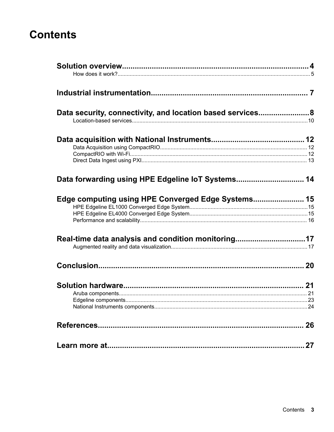### **Contents**

| Data security, connectivity, and location based services8                                                |    |
|----------------------------------------------------------------------------------------------------------|----|
|                                                                                                          |    |
| Data forwarding using HPE Edgeline IoT Systems 14                                                        |    |
| Edge computing using HPE Converged Edge Systems 15<br>Real-time data analysis and condition monitoring17 |    |
|                                                                                                          |    |
|                                                                                                          |    |
|                                                                                                          |    |
|                                                                                                          | 27 |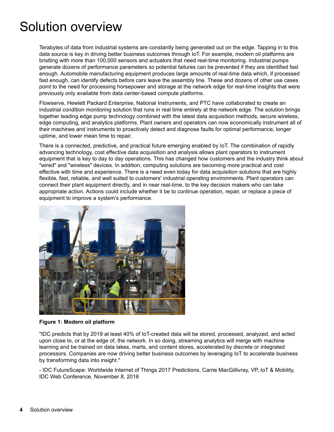## <span id="page-3-0"></span>Solution overview

Terabytes of data from industrial systems are constantly being generated out on the edge. Tapping in to this data source is key in driving better business outcomes through IoT. For example, modern oil platforms are bristling with more than 100,000 sensors and actuators that need real-time monitoring. Industrial pumps generate dozens of performance parameters so potential failures can be prevented if they are identified fast enough. Automobile manufacturing equipment produces large amounts of real-time data which, if processed fast enough, can identify defects before cars leave the assembly line. These and dozens of other use cases point to the need for processing horsepower and storage at the network edge for real-time insights that were previously only available from data center-based compute platforms.

Flowserve, Hewlett Packard Enterprise, National Instruments, and PTC have collaborated to create an industrial condition monitoring solution that runs in real time entirely at the network edge. The solution brings together leading edge pump technology combined with the latest data acquisition methods, secure wireless, edge computing, and analytics platforms. Plant owners and operators can now economically instrument all of their machines and instruments to proactively detect and diagnose faults for optimal performance, longer uptime, and lower mean time to repair.

There is a connected, predictive, and practical future emerging enabled by IoT. The combination of rapidly advancing technology, cost effective data acquisition and analysis allows plant operators to instrument equipment that is key to day to day operations. This has changed how customers and the industry think about "wired" and "wireless" devices. In addition, computing solutions are becoming more practical and cost effective with time and experience. There is a need even today for data acquisition solutions that are highly flexible, fast, reliable, and well suited to customers' industrial operating environments. Plant operators can connect their plant equipment directly, and in near real-time, to the key decision makers who can take appropriate action. Actions could include whether it be to continue operation, repair, or replace a piece of equipment to improve a system's performance.



#### **Figure 1: Modern oil platform**

"IDC predicts that by 2019 at least 40% of loT-created data will be stored, processed, analyzed, and acted upon close to, or at the edge of, the network. In so doing, streaming analytics will merge with machine learning and be trained on data lakes, marts, and content stores, accelerated by discrete or integrated processors. Companies are now driving better business outcomes by leveraging IoT to accelerate business by transforming data into insight."

- IDC FutureScape: Worldwide Internet of Things 2017 Predictions, Carrie MacGillivray, VP, IoT & Mobility, IDC Web Conference, November 8, 2016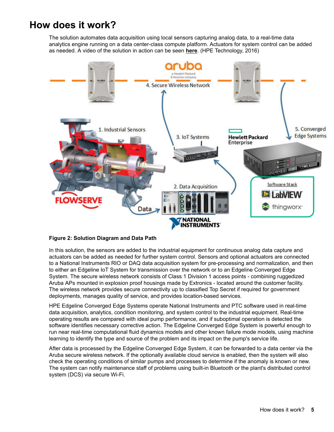### <span id="page-4-0"></span>**How does it work?**

The solution automates data acquisition using local sensors capturing analog data, to a real-time data analytics engine running on a data center-class compute platform. Actuators for system control can be added as needed. A video of the solution in action can be seen **[here](https://www.youtube.com/watch?v=FE-jGO6E1Vc)**. (HPE Technology, 2016)



#### **Figure 2: Solution Diagram and Data Path**

In this solution, the sensors are added to the industrial equipment for continuous analog data capture and actuators can be added as needed for further system control. Sensors and optional actuators are connected to a National Instruments RIO or DAQ data acquisition system for pre-processing and normalization, and then to either an Edgeline IoT System for transmission over the network or to an Edgeline Converged Edge System. The secure wireless network consists of Class 1 Division 1 access points - combining ruggedized Aruba APs mounted in explosion proof housings made by Extronics - located around the customer facility. The wireless network provides secure connectivity up to classified Top Secret if required for government deployments, manages quality of service, and provides location-based services.

HPE Edgeline Converged Edge Systems operate National Instruments and PTC software used in real-time data acquisition, analytics, condition monitoring, and system control to the industrial equipment. Real-time operating results are compared with ideal pump performance, and if suboptimal operation is detected the software identifies necessary corrective action. The Edgeline Converged Edge System is powerful enough to run near real-time computational fluid dynamics models and other known failure mode models, using machine learning to identify the type and source of the problem and its impact on the pump's service life.

After data is processed by the Edgeline Converged Edge System, it can be forwarded to a data center via the Aruba secure wireless network. If the optionally available cloud service is enabled, then the system will also check the operating conditions of similar pumps and processes to determine if the anomaly is known or new. The system can notify maintenance staff of problems using built-in Bluetooth or the plant's distributed control system (DCS) via secure Wi-Fi.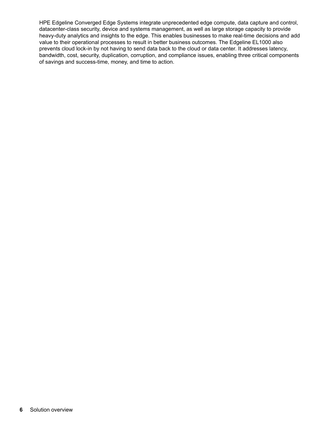HPE Edgeline Converged Edge Systems integrate unprecedented edge compute, data capture and control, datacenter-class security, device and systems management, as well as large storage capacity to provide heavy-duty analytics and insights to the edge. This enables businesses to make real-time decisions and add value to their operational processes to result in better business outcomes. The Edgeline EL1000 also prevents cloud lock-in by not having to send data back to the cloud or data center. It addresses latency, bandwidth, cost, security, duplication, corruption, and compliance issues, enabling three critical components of savings and success-time, money, and time to action.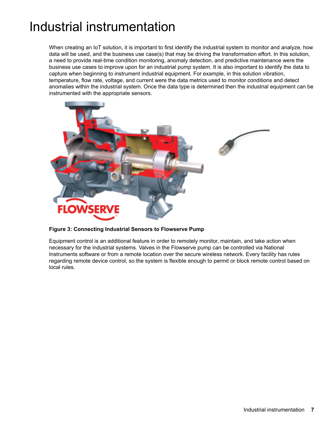## <span id="page-6-0"></span>Industrial instrumentation

When creating an IoT solution, it is important to first identify the industrial system to monitor and analyze, how data will be used, and the business use case(s) that may be driving the transformation effort. In this solution, a need to provide real-time condition monitoring, anomaly detection, and predictive maintenance were the business use cases to improve upon for an industrial pump system. It is also important to identify the data to capture when beginning to instrument industrial equipment. For example, in this solution vibration, temperature, flow rate, voltage, and current were the data metrics used to monitor conditions and detect anomalies within the industrial system. Once the data type is determined then the industrial equipment can be instrumented with the appropriate sensors.



**Figure 3: Connecting Industrial Sensors to Flowserve Pump** 

Equipment control is an additional feature in order to remotely monitor, maintain, and take action when necessary for the industrial systems. Valves in the Flowserve pump can be controlled via National Instruments software or from a remote location over the secure wireless network. Every facility has rules regarding remote device control, so the system is flexible enough to permit or block remote control based on local rules.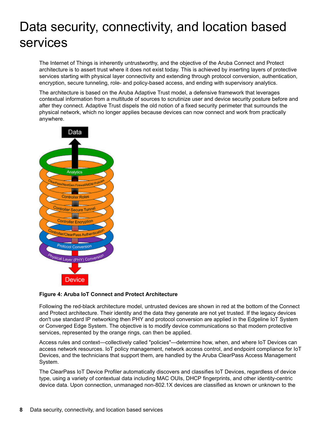# <span id="page-7-0"></span>Data security, connectivity, and location based services

The Internet of Things is inherently untrustworthy, and the objective of the Aruba Connect and Protect architecture is to assert trust where it does not exist today. This is achieved by inserting layers of protective services starting with physical layer connectivity and extending through protocol conversion, authentication, encryption, secure tunneling, role- and policy-based access, and ending with supervisory analytics.

The architecture is based on the Aruba Adaptive Trust model, a defensive framework that leverages contextual information from a multitude of sources to scrutinize user and device security posture before and after they connect. Adaptive Trust dispels the old notion of a fixed security perimeter that surrounds the physical network, which no longer applies because devices can now connect and work from practically .anywhere



#### **Figure 4: Aruba IoT Connect and Protect Architecture**

Following the red-black architecture model, untrusted devices are shown in red at the bottom of the Connect and Protect architecture. Their identity and the data they generate are not yet trusted. If the legacy devices don't use standard IP networking then PHY and protocol conversion are applied in the Edgeline IoT System or Converged Edge System. The objective is to modify device communications so that modern protective services, represented by the orange rings, can then be applied.

Access rules and context—collectively called "policies"—determine how, when, and where IoT Devices can access network resources. IoT policy management, network access control, and endpoint compliance for IoT Devices, and the technicians that support them, are handled by the Aruba ClearPass Access Management System.

The ClearPass IoT Device Profiler automatically discovers and classifies IoT Devices, regardless of device type, using a variety of contextual data including MAC OUIs, DHCP fingerprints, and other identity-centric device data. Upon connection, unmanaged non-802.1X devices are classified as known or unknown to the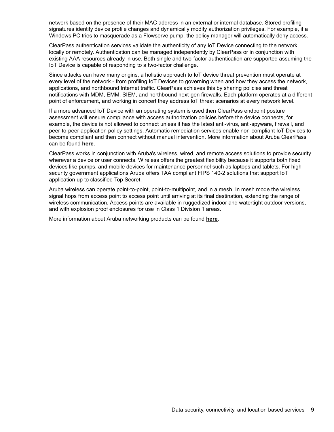network based on the presence of their MAC address in an external or internal database. Stored profiling signatures identify device profile changes and dynamically modify authorization privileges. For example, if a Windows PC tries to masquerade as a Flowserve pump, the policy manager will automatically deny access.

ClearPass authentication services validate the authenticity of any IoT Device connecting to the network, locally or remotely. Authentication can be managed independently by ClearPass or in conjunction with existing AAA resources already in use. Both single and two-factor authentication are supported assuming the IoT Device is capable of responding to a two-factor challenge.

Since attacks can have many origins, a holistic approach to IoT device threat prevention must operate at every level of the network - from profiling IoT Devices to governing when and how they access the network, applications, and northbound Internet traffic. ClearPass achieves this by sharing policies and threat notifications with MDM, EMM, SIEM, and northbound next-gen firewalls. Each platform operates at a different point of enforcement, and working in concert they address IoT threat scenarios at every network level.

If a more advanced IoT Device with an operating system is used then ClearPass endpoint posture assessment will ensure compliance with access authorization policies before the device connects, for example, the device is not allowed to connect unless it has the latest anti-virus, anti-spyware, firewall, and peer-to-peer application policy settings. Automatic remediation services enable non-compliant loT Devices to become compliant and then connect without manual intervention. More information about Aruba ClearPass can be found [here](http://www.arubanetworks.com/products/security/network-access-control/).

ClearPass works in conjunction with Aruba's wireless, wired, and remote access solutions to provide security wherever a device or user connects. Wireless offers the greatest flexibility because it supports both fixed devices like pumps, and mobile devices for maintenance personnel such as laptops and tablets. For high security government applications Aruba offers TAA compliant FIPS 140-2 solutions that support loT application up to classified Top Secret.

Aruba wireless can operate point-to-point, point-to-multipoint, and in a mesh. In mesh mode the wireless signal hops from access point to access point until arriving at its final destination, extending the range of wireless communication. Access points are available in ruggedized indoor and watertight outdoor versions, and with explosion proof enclosures for use in Class 1 Division 1 areas.

More information about Aruba networking products can be found [here](http://www.arubanetworks.com/products/networking/).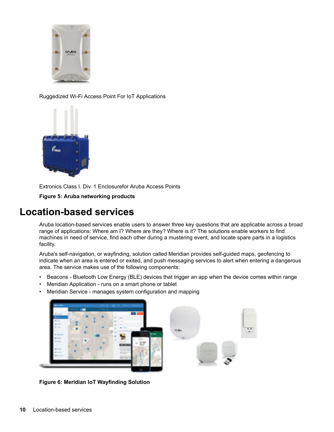<span id="page-9-0"></span>

Ruggedized Wi-Fi Access Point For IoT Applications



Extronics Class I. Div. 1 Enclosurefor Aruba Access Points

**Figure 5: Aruba networking products** 

### **Location-based services**

Aruba location-based services enable users to answer three key questions that are applicable across a broad range of applications: Where am I? Where are they? Where is it? The solutions enable workers to find machines in need of service, find each other during a mustering event, and locate spare parts in a logistics facility.

Aruba's self-navigation, or wayfinding, solution called Meridian provides self-guided maps, geofencing to indicate when an area is entered or exited, and push messaging services to alert when entering a dangerous area. The service makes use of the following components:

- Beacons Bluetooth Low Energy (BLE) devices that trigger an app when the device comes within range
- Meridian Application runs on a smart phone or tablet
- Meridian Service manages system configuration and mapping



**Figure 6: Meridian IoT Wayfinding Solution**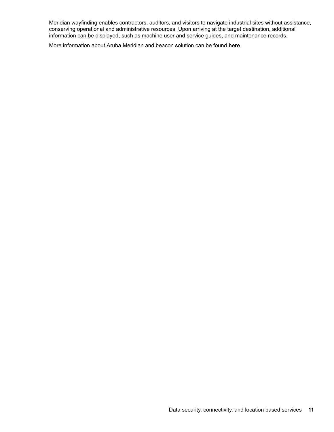Meridian wayfinding enables contractors, auditors, and visitors to navigate industrial sites without assistance, conserving operational and administrative resources. Upon arriving at the target destination, additional information can be displayed, such as machine user and service guides, and maintenance records.

More information about Aruba Meridian and beacon solution can be found *[here](http://www.arubanetworks.com/assets/so/SO_MobileEngagement.pdf)*.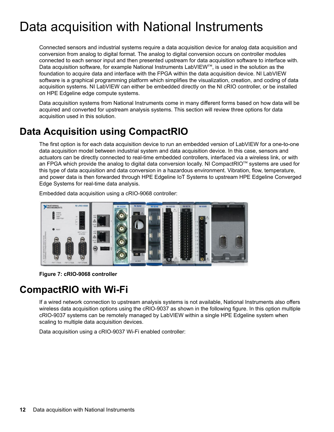# <span id="page-11-0"></span>Data acquisition with National Instruments

Connected sensors and industrial systems require a data acquisition device for analog data acquisition and conversion from analog to digital format. The analog to digital conversion occurs on controller modules connected to each sensor input and then presented upstream for data acquisition software to interface with. Data acquisition software, for example National Instruments LabVIEW<sup>™</sup>, is used in the solution as the foundation to acquire data and interface with the FPGA within the data acquisition device. NI LabVIEW software is a graphical programming platform which simplifies the visualization, creation, and coding of data acquisition systems. NI LabVIEW can either be embedded directly on the NI cRIO controller, or be installed on HPE Edgeline edge compute systems.

Data acquisition systems from National Instruments come in many different forms based on how data will be acquired and converted for upstream analysis systems. This section will review three options for data acquisition used in this solution.

### **Data Acquisition using CompactRIO**

The first option is for each data acquisition device to run an embedded version of LabVIEW for a one-to-one data acquisition model between industrial system and data acquisition device. In this case, sensors and actuators can be directly connected to real-time embedded controllers, interfaced via a wireless link, or with an FPGA which provide the analog to digital data conversion locally. NI CompactRIO<sup>™</sup> systems are used for this type of data acquisition and data conversion in a hazardous environment. Vibration, flow, temperature, and power data is then forwarded through HPE Edgeline IoT Systems to upstream HPE Edgeline Converged Edge Systems for real-time data analysis.



Embedded data acquisition using a cRIO-9068 controller:

**Figure 7: cRIO-9068 controller** 

### **CompactRIO** with Wi-Fi

If a wired network connection to upstream analysis systems is not available. National Instruments also offers wireless data acquisition options using the cRIO-9037 as shown in the following figure. In this option multiple cRIO-9037 systems can be remotely managed by LabVIEW within a single HPE Edgeline system when scaling to multiple data acquisition devices.

Data acquisition using a cRIO-9037 Wi-Fi enabled controller: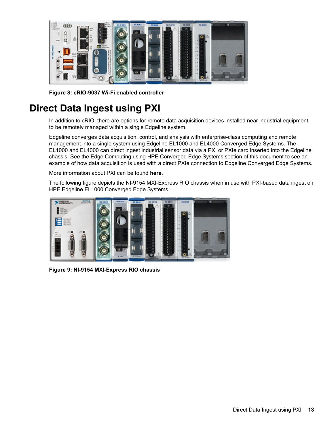<span id="page-12-0"></span>

Figure 8: cRIO-9037 Wi-Fi enabled controller

## **Direct Data Ingest using PXI**

In addition to cRIO, there are options for remote data acquisition devices installed near industrial equipment to be remotely managed within a single Edgeline system.

Edgeline converges data acquisition, control, and analysis with enterprise-class computing and remote management into a single system using Edgeline EL1000 and EL4000 Converged Edge Systems. The EL1000 and EL4000 can direct ingest industrial sensor data via a PXI or PXIe card inserted into the Edgeline chassis. See the Edge Computing using HPE Converged Edge Systems section of this document to see an example of how data acquisition is used with a direct PXIe connection to Edgeline Converged Edge Systems.

More information about PXI can be found [here](http://www.pxisa.org/).

The following figure depicts the NI-9154 MXI-Express RIO chassis when in use with PXI-based data ingest on HPE Edgeline EL1000 Converged Edge Systems.



**Figure 9: NI-9154 MXI-Express RIO chassis**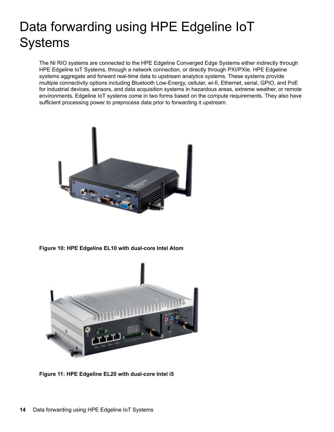# <span id="page-13-0"></span>Data forwarding using HPE Edgeline IoT **Systems**

The NI RIO systems are connected to the HPE Edgeline Converged Edge Systems either indirectly through HPE Edgeline IoT Systems, through a network connection, or directly through PXI/PXIe. HPE Edgeline systems aggregate and forward real-time data to upstream analytics systems. These systems provide multiple connectivity options including Bluetooth Low-Energy, cellular, wi-fi, Ethernet, serial, GPIO, and PoE for industrial devices, sensors, and data acquisition systems in hazardous areas, extreme weather, or remote environments. Edgeline IoT systems come in two forms based on the compute requirements. They also have sufficient processing power to preprocess data prior to forwarding it upstream.



Figure 10: HPE Edgeline EL10 with dual-core Intel Atom



**Figure 11: HPE Edgeline EL20 with dual-core Intel i5**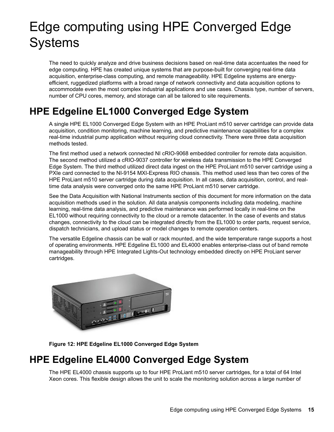# <span id="page-14-0"></span>Edge computing using HPE Converged Edge **Systems**

The need to quickly analyze and drive business decisions based on real-time data accentuates the need for edge computing. HPE has created unique systems that are purpose-built for converging real-time data efficient, ruggedized platforms with a broad range of network connectivity and data acquisition options to acquisition, enterprise-class computing, and remote manageability. HPE Edgeline systems are energyaccommodate even the most complex industrial applications and use cases. Chassis type, number of servers, number of CPU cores, memory, and storage can all be tailored to site requirements.

### **HPE Edgeline EL1000 Converged Edge System**

A single HPE EL1000 Converged Edge System with an HPE ProLiant m510 server cartridge can provide data acquisition, condition monitoring, machine learning, and predictive maintenance capabilities for a complex real-time industrial pump application without requiring cloud connectivity. There were three data acquisition methods tested.

The first method used a network connected NI cRIO-9068 embedded controller for remote data acquisition. The second method utilized a cRIO-9037 controller for wireless data transmission to the HPE Converged Edge System. The third method utilized direct data ingest on the HPE ProLiant m510 server cartridge using a PXIe card connected to the NI-9154 MXI-Express RIO chassis. This method used less than two cores of the HPE ProLiant m510 server cartridge during data acquisition. In all cases, data acquisition, control, and real-<br>time data analysis were converged onto the same HPE ProLiant m510 server cartridge.

See the Data Acquisition with National Instruments section of this document for more information on the data acquisition methods used in the solution. All data analysis components including data modeling, machine learning, real-time data analysis, and predictive maintenance was performed locally in real-time on the EL1000 without requiring connectivity to the cloud or a remote datacenter. In the case of events and status changes, connectivity to the cloud can be integrated directly from the EL1000 to order parts, request service, dispatch technicians, and upload status or model changes to remote operation centers.

The versatile Edgeline chassis can be wall or rack mounted, and the wide temperature range supports a host of operating environments. HPE Edgeline EL1000 and EL4000 enables enterprise-class out of band remote manageability through HPE Integrated Lights-Out technology embedded directly on HPE ProLiant server .cartridges



**Figure 12: HPE Edgeline EL1000 Converged Edge System** 

### **HPE Edgeline EL4000 Converged Edge System**

The HPE EL4000 chassis supports up to four HPE ProLiant m510 server cartridges, for a total of 64 Intel Xeon cores. This flexible design allows the unit to scale the monitoring solution across a large number of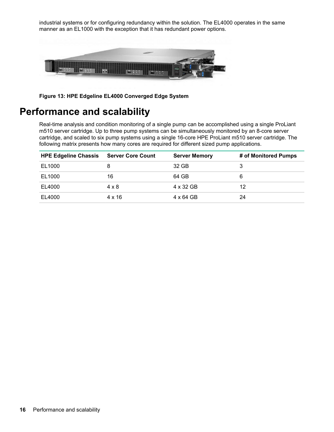<span id="page-15-0"></span>industrial systems or for configuring redundancy within the solution. The EL4000 operates in the same manner as an EL1000 with the exception that it has redundant power options.



Figure 13: HPE Edgeline EL4000 Converged Edge System

### **Performance and scalability**

Real-time analysis and condition monitoring of a single pump can be accomplished using a single ProLiant m510 server cartridge. Up to three pump systems can be simultaneously monitored by an 8-core server cartridge, and scaled to six pump systems using a single 16-core HPE ProLiant m510 server cartridge. The following matrix presents how many cores are required for different sized pump applications.

| <b>HPE Edgeline Chassis</b> | <b>Server Core Count</b> | <b>Server Memory</b> | # of Monitored Pumps |
|-----------------------------|--------------------------|----------------------|----------------------|
| EL1000                      |                          | 32 GB                |                      |
| EL1000                      | 16                       | 64 GB                | 6                    |
| EL4000                      | $4 \times 8$             | 4 x 32 GB            | 12                   |
| EL4000                      | $4 \times 16$            | 4 x 64 GB            | 24                   |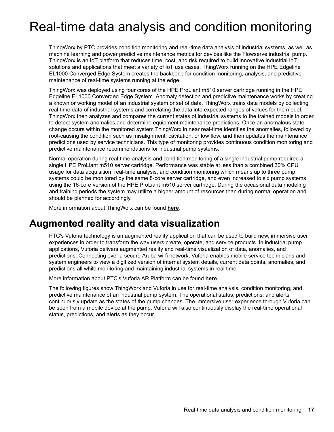## <span id="page-16-0"></span>Real-time data analysis and condition monitoring

ThingWorx by PTC provides condition monitoring and real-time data analysis of industrial systems, as well as machine learning and power predictive maintenance metrics for devices like the Flowserve industrial pump. ThingWorx is an IoT platform that reduces time, cost, and risk required to build innovative industrial IoT solutions and applications that meet a variety of loT use cases. ThingWorx running on the HPE Edgeline EL1000 Converged Edge System creates the backbone for condition monitoring, analysis, and predictive maintenance of real-time systems running at the edge.

ThingWorx was deployed using four cores of the HPE ProLiant m510 server cartridge running in the HPE Edgeline EL1000 Converged Edge System. Anomaly detection and predictive maintenance works by creating a known or working model of an industrial system or set of data. ThingWorx trains data models by collecting real-time data of industrial systems and correlating the data into expected ranges of values for the model. ThingWorx then analyzes and compares the current states of industrial systems to the trained models in order to detect system anomalies and determine equipment maintenance predictions. Once an anomalous state change occurs within the monitored system ThingWorx in near real-time identifies the anomalies, followed by root-causing the condition such as misalignment, cavitation, or low flow, and then updates the maintenance predictions used by service technicians. This type of monitoring provides continuous condition monitoring and predictive maintenance recommendations for industrial pump systems.

Normal operation during real-time analysis and condition monitoring of a single industrial pump required a single HPE ProLiant m510 server cartridge. Performance was stable at less than a combined 30% CPU usage for data acquisition, real-time analysis, and condition monitoring which means up to three pump systems could be monitored by the same 8-core server cartridge, and even increased to six pump systems using the 16-core version of the HPE ProLiant m510 server cartridge. During the occasional data modeling and training periods the system may utilize a higher amount of resources than during normal operation and should be planned for accordingly.

More information about ThingWorx can be found [here](http://www.ThingWorx.com).

### **Augmented reality and data visualization**

PTC's Vuforia technology is an augmented reality application that can be used to build new, immersive user experiences in order to transform the way users create, operate, and service products. In industrial pump applications, Vuforia delivers augmented reality and real-time visualization of data, anomalies, and predictions. Connecting over a secure Aruba wi-fi network, Vuforia enables mobile service technicians and system engineers to view a digitized version of internal system details, current data points, anomalies, and predictions all while monitoring and maintaining industrial systems in real time.

More information about PTC's Vuforia AR Platform can be found [here](http://www.ptc.com/augmented-reality).

The following figures show ThingWorx and Vuforia in use for real-time analysis, condition monitoring, and predictive maintenance of an industrial pump system. The operational status, predictions, and alerts continuously update as the states of the pump changes. The immersive user experience through Vuforia can be seen from a mobile device at the pump. Vuforia will also continuously display the real-time operational status, predictions, and alerts as they occur.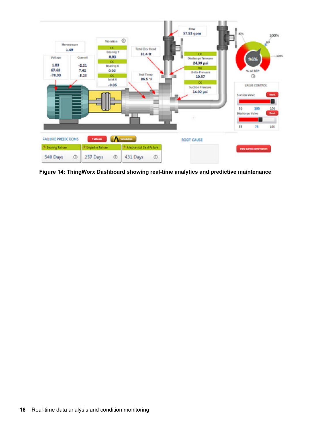

Figure 14: ThingWorx Dashboard showing real-time analytics and predictive maintenance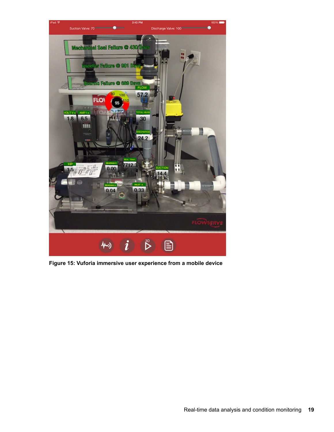

Figure 15: Vuforia immersive user experience from a mobile device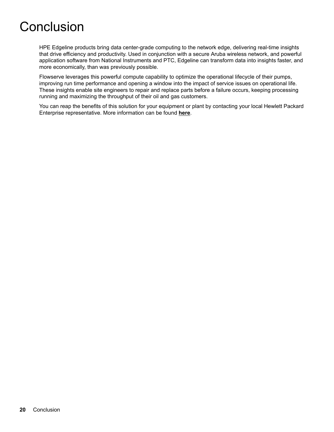## <span id="page-19-0"></span>Conclusion

HPE Edgeline products bring data center-grade computing to the network edge, delivering real-time insights that drive efficiency and productivity. Used in conjunction with a secure Aruba wireless network, and powerful application software from National Instruments and PTC, Edgeline can transform data into insights faster, and more economically, than was previously possible.

Flowserve leverages this powerful compute capability to optimize the operational lifecycle of their pumps, improving run time performance and opening a window into the impact of service issues on operational life. These insights enable site engineers to repair and replace parts before a failure occurs, keeping processing running and maximizing the throughput of their oil and gas customers.

You can reap the benefits of this solution for your equipment or plant by contacting your local Hewlett Packard Enterprise representative. More information can be found [here](http://www.hpe.com/info/edgeline).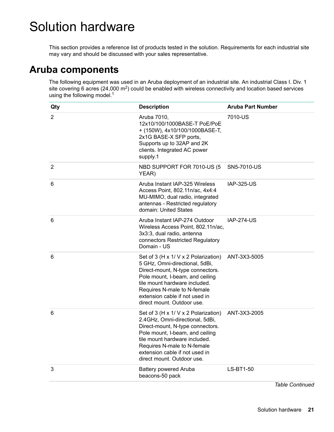## <span id="page-20-0"></span>**Solution hardware**

This section provides a reference list of products tested in the solution. Requirements for each industrial site may vary and should be discussed with your sales representative.

### **Aruba components**

The following equipment was used in an Aruba deployment of an industrial site. An industrial Class I. Div. 1 site covering 6 acres (24,000 m<sup>2</sup>) could be enabled with wireless connectivity and location based services using the following model. $1$ 

| Qty            | <b>Description</b>                                                                                                                                                                                                                                                             | <b>Aruba Part Number</b> |
|----------------|--------------------------------------------------------------------------------------------------------------------------------------------------------------------------------------------------------------------------------------------------------------------------------|--------------------------|
| $\overline{2}$ | Aruba 7010,<br>12x10/100/1000BASE-T PoE/PoE<br>+ (150W), 4x10/100/1000BASE-T,<br>2x1G BASE-X SFP ports,<br>Supports up to 32AP and 2K<br>clients. Integrated AC power<br>supply.1                                                                                              | 7010-US                  |
| 2              | NBD SUPPORT FOR 7010-US (5<br>YEAR)                                                                                                                                                                                                                                            | SN5-7010-US              |
| 6              | Aruba Instant IAP-325 Wireless<br>Access Point, 802.11n/ac, 4x4:4<br>MU-MIMO, dual radio, integrated<br>antennas - Restricted regulatory<br>domain: United States                                                                                                              | <b>IAP-325-US</b>        |
| 6              | Aruba Instant IAP-274 Outdoor<br>Wireless Access Point, 802.11n/ac,<br>3x3:3, dual radio, antenna<br>connectors Restricted Regulatory<br>Domain - US                                                                                                                           | <b>IAP-274-US</b>        |
| 6              | Set of 3 (H x 1/ V x 2 Polarization)<br>5 GHz, Omni-directional, 5dBi,<br>Direct-mount, N-type connectors.<br>Pole mount, I-beam, and ceiling<br>tile mount hardware included.<br>Requires N-male to N-female<br>extension cable if not used in<br>direct mount. Outdoor use.  | ANT-3X3-5005             |
| 6              | Set of 3 (H x 1/ V x 2 Polarization)<br>2.4GHz, Omni-directional, 5dBi,<br>Direct-mount, N-type connectors.<br>Pole mount, I-beam, and ceiling<br>tile mount hardware included.<br>Requires N-male to N-female<br>extension cable if not used in<br>direct mount. Outdoor use. | ANT-3X3-2005             |
| 3              | <b>Battery powered Aruba</b><br>beacons-50 pack                                                                                                                                                                                                                                | LS-BT1-50                |
|                |                                                                                                                                                                                                                                                                                | Table Continued          |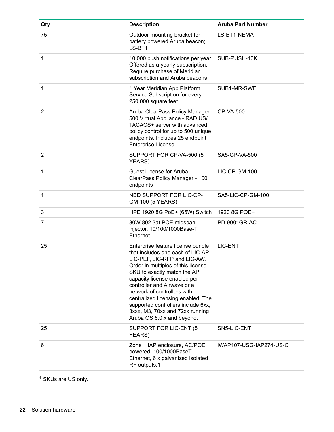| Qty            | <b>Description</b>                                                                                                                                                                                                                                                                                                                                                                                                     | <b>Aruba Part Number</b> |
|----------------|------------------------------------------------------------------------------------------------------------------------------------------------------------------------------------------------------------------------------------------------------------------------------------------------------------------------------------------------------------------------------------------------------------------------|--------------------------|
| 75             | Outdoor mounting bracket for<br>battery powered Aruba beacon;<br>LS-BT1                                                                                                                                                                                                                                                                                                                                                | LS-BT1-NEMA              |
| 1              | 10,000 push notifications per year.<br>Offered as a yearly subscription.<br>Require purchase of Meridian<br>subscription and Aruba beacons                                                                                                                                                                                                                                                                             | SUB-PUSH-10K             |
| 1              | 1 Year Meridian App Platform<br>Service Subscription for every<br>250,000 square feet                                                                                                                                                                                                                                                                                                                                  | SUB1-MR-SWF              |
| $\overline{2}$ | Aruba ClearPass Policy Manager<br>500 Virtual Appliance - RADIUS/<br>TACACS+ server with advanced<br>policy control for up to 500 unique<br>endpoints. Includes 25 endpoint<br>Enterprise License.                                                                                                                                                                                                                     | <b>CP-VA-500</b>         |
| $\overline{2}$ | SUPPORT FOR CP-VA-500 (5<br>YEARS)                                                                                                                                                                                                                                                                                                                                                                                     | SA5-CP-VA-500            |
| 1              | <b>Guest License for Aruba</b><br>ClearPass Policy Manager - 100<br>endpoints                                                                                                                                                                                                                                                                                                                                          | LIC-CP-GM-100            |
| 1              | NBD SUPPORT FOR LIC-CP-<br>GM-100 (5 YEARS)                                                                                                                                                                                                                                                                                                                                                                            | SA5-LIC-CP-GM-100        |
| 3              | HPE 1920 8G PoE+ (65W) Switch                                                                                                                                                                                                                                                                                                                                                                                          | 1920 8G POE+             |
| 7              | 30W 802.3at POE midspan<br>injector, 10/100/1000Base-T<br>Ethernet                                                                                                                                                                                                                                                                                                                                                     | PD-9001GR-AC             |
| 25             | Enterprise feature license bundle<br>that includes one each of LIC-AP,<br>LIC-PEF, LIC-RFP and LIC-AW.<br>Order in multiples of this license<br>SKU to exactly match the AP<br>capacity license enabled per<br>controller and Airwave or a<br>network of controllers with<br>centralized licensing enabled. The<br>supported controllers include 6xx,<br>3xxx, M3, 70xx and 72xx running<br>Aruba OS 6.0.x and beyond. | LIC-ENT                  |
| 25             | SUPPORT FOR LIC-ENT (5<br>YEARS)                                                                                                                                                                                                                                                                                                                                                                                       | SN5-LIC-ENT              |
| 6              | Zone 1 IAP enclosure, AC/POE<br>powered, 100/1000BaseT<br>Ethernet, 6 x galvanized isolated<br>RF outputs.1                                                                                                                                                                                                                                                                                                            | iWAP107-USG-IAP274-US-C  |

<sup>1</sup> SKUs are US only.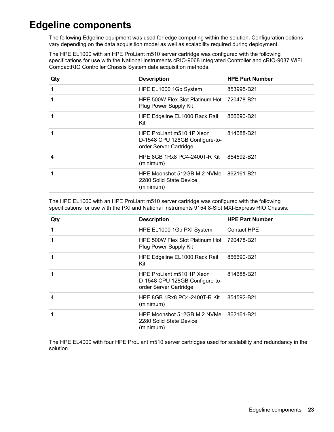### <span id="page-22-0"></span>**Edgeline components**

The following Edgeline equipment was used for edge computing within the solution. Configuration options vary depending on the data acquisition model as well as scalability required during deployment.

The HPE EL1000 with an HPE ProLiant m510 server cartridge was configured with the following specifications for use with the National Instruments cRIO-9068 Integrated Controller and cRIO-9037 WiFi CompactRIO Controller Chassis System data acquisition methods.

| <b>Description</b>                                                                    | <b>HPE Part Number</b> |
|---------------------------------------------------------------------------------------|------------------------|
| HPE EL1000 1Gb System                                                                 | 853995-B21             |
| HPE 500W Flex Slot Platinum Hot<br>Plug Power Supply Kit                              | 720478-B21             |
| HPE Edgeline EL1000 Rack Rail<br>Kit                                                  | 866690-B21             |
| HPE ProLiant m510 1P Xeon<br>D-1548 CPU 128GB Configure-to-<br>order Server Cartridge | 814688-B21             |
| HPE 8GB 1Rx8 PC4-2400T-R Kit<br>(minimum)                                             | 854592-B21             |
| HPE Moonshot 512GB M.2 NVMe<br>2280 Solid State Device<br>(minimum)                   | 862161-B21             |
|                                                                                       |                        |

The HPE EL1000 with an HPE ProLiant m510 server cartridge was configured with the following specifications for use with the PXI and National Instruments 9154 8-Slot MXI-Express RIO Chassis:

| Qty            | <b>Description</b>                                                                    | <b>HPE Part Number</b> |
|----------------|---------------------------------------------------------------------------------------|------------------------|
| 1              | HPE EL1000 1Gb PXI System                                                             | <b>Contact HPE</b>     |
| 1              | HPE 500W Flex Slot Platinum Hot 720478-B21<br>Plug Power Supply Kit                   |                        |
| 1              | HPE Edgeline EL1000 Rack Rail<br>Kit                                                  | 866690-B21             |
| 1              | HPE ProLiant m510 1P Xeon<br>D-1548 CPU 128GB Configure-to-<br>order Server Cartridge | 814688-B21             |
| $\overline{4}$ | HPE 8GB 1Rx8 PC4-2400T-R Kit<br>(minimum)                                             | 854592-B21             |
| 1              | HPE Moonshot 512GB M.2 NVMe 862161-B21<br>2280 Solid State Device<br>(minimum)        |                        |

The HPE EL4000 with four HPE ProLiant m510 server cartridges used for scalability and redundancy in the solution.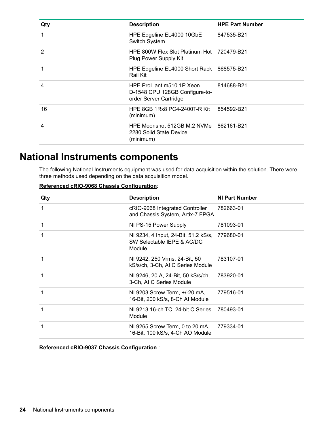<span id="page-23-0"></span>

| Qty            | <b>Description</b>                                                                    | <b>HPE Part Number</b> |
|----------------|---------------------------------------------------------------------------------------|------------------------|
|                | HPE Edgeline EL4000 10GbE<br>Switch System                                            | 847535-B21             |
| $\overline{2}$ | HPE 800W Flex Slot Platinum Hot 720479-B21<br>Plug Power Supply Kit                   |                        |
|                | HPE Edgeline EL4000 Short Rack 868575-B21<br>Rail Kit                                 |                        |
| 4              | HPE ProLiant m510 1P Xeon<br>D-1548 CPU 128GB Configure-to-<br>order Server Cartridge | 814688-B21             |
| 16             | HPE 8GB 1Rx8 PC4-2400T-R Kit<br>(minimum)                                             | 854592-B21             |
| 4              | HPE Moonshot 512GB M.2 NVMe 862161-B21<br>2280 Solid State Device<br>(minimum)        |                        |

### **National Instruments components**

The following National Instruments equipment was used for data acquisition within the solution. There were three methods used depending on the data acquisition model.

| Qty          | <b>Description</b>                                                           | <b>NI Part Number</b> |
|--------------|------------------------------------------------------------------------------|-----------------------|
| $\mathbf{1}$ | cRIO-9068 Integrated Controller<br>and Chassis System, Artix-7 FPGA          | 782663-01             |
| 1            | NI PS-15 Power Supply                                                        | 781093-01             |
| 1            | NI 9234, 4 Input, 24-Bit, 51.2 kS/s,<br>SW Selectable IEPE & AC/DC<br>Module | 779680-01             |
| 1            | NI 9242, 250 Vrms, 24-Bit, 50<br>kS/s/ch, 3-Ch, AI C Series Module           | 783107-01             |
| $\mathbf 1$  | NI 9246, 20 A, 24-Bit, 50 kS/s/ch,<br>3-Ch, AI C Series Module               | 783920-01             |
| 1            | NI 9203 Screw Term, +/-20 mA,<br>16-Bit, 200 kS/s, 8-Ch Al Module            | 779516-01             |
| 1            | NI 9213 16-ch TC, 24-bit C Series<br>Module                                  | 780493-01             |
| 1            | NI 9265 Screw Term, 0 to 20 mA,<br>16-Bit, 100 kS/s, 4-Ch AO Module          | 779334-01             |

#### **Referenced cRIO-9068 Chassis Configuration:**

**Referenced cRIO-9037 Chassis Configuration:**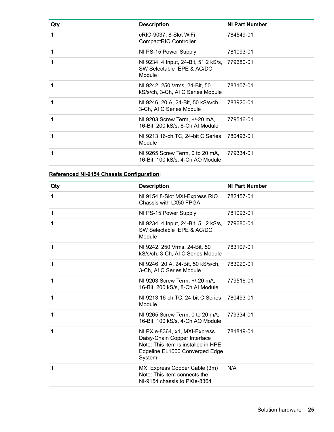| Qty | <b>Description</b>                                                           | <b>NI Part Number</b> |
|-----|------------------------------------------------------------------------------|-----------------------|
| 1   | cRIO-9037, 8-Slot WiFi<br>CompactRIO Controller                              | 784549-01             |
| 1   | NI PS-15 Power Supply                                                        | 781093-01             |
| 1   | NI 9234, 4 Input, 24-Bit, 51.2 kS/s,<br>SW Selectable IEPE & AC/DC<br>Module | 779680-01             |
| 1   | NI 9242, 250 Vrms, 24-Bit, 50<br>kS/s/ch, 3-Ch, AI C Series Module           | 783107-01             |
| 1   | NI 9246, 20 A, 24-Bit, 50 kS/s/ch,<br>3-Ch, AI C Series Module               | 783920-01             |
| 1   | NI 9203 Screw Term, +/-20 mA,<br>16-Bit, 200 kS/s, 8-Ch Al Module            | 779516-01             |
| 1   | NI 9213 16-ch TC, 24-bit C Series<br>Module                                  | 780493-01             |
| 1   | NI 9265 Screw Term, 0 to 20 mA,<br>16-Bit, 100 kS/s, 4-Ch AO Module          | 779334-01             |

### **Referenced NI-9154 Chassis Configuration:**

| Qty          | <b>Description</b>                                                                                                                               | <b>NI Part Number</b> |
|--------------|--------------------------------------------------------------------------------------------------------------------------------------------------|-----------------------|
| $\mathbf{1}$ | NI 9154 8-Slot MXI-Express RIO<br>Chassis with LX50 FPGA                                                                                         | 782457-01             |
| $\mathbf{1}$ | NI PS-15 Power Supply                                                                                                                            | 781093-01             |
| 1            | NI 9234, 4 Input, 24-Bit, 51.2 kS/s,<br>SW Selectable IEPE & AC/DC<br>Module                                                                     | 779680-01             |
| 1            | NI 9242, 250 Vrms, 24-Bit, 50<br>kS/s/ch, 3-Ch, AI C Series Module                                                                               | 783107-01             |
| $\mathbf{1}$ | NI 9246, 20 A, 24-Bit, 50 kS/s/ch,<br>3-Ch, AI C Series Module                                                                                   | 783920-01             |
| $\mathbf{1}$ | NI 9203 Screw Term, +/-20 mA,<br>16-Bit, 200 kS/s, 8-Ch Al Module                                                                                | 779516-01             |
| 1            | NI 9213 16-ch TC, 24-bit C Series<br>Module                                                                                                      | 780493-01             |
| $\mathbf{1}$ | NI 9265 Screw Term, 0 to 20 mA,<br>16-Bit, 100 kS/s, 4-Ch AO Module                                                                              | 779334-01             |
| $\mathbf{1}$ | NI PXIe-8364, x1, MXI-Express<br>Daisy-Chain Copper Interface<br>Note: This item is installed in HPE<br>Edgeline EL1000 Converged Edge<br>System | 781819-01             |
| 1            | MXI Express Copper Cable (3m)<br>Note: This item connects the<br>NI-9154 chassis to PXIe-8364                                                    | N/A                   |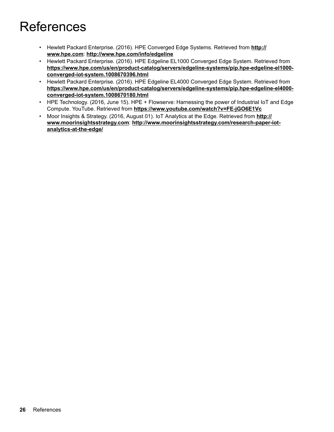# <span id="page-25-0"></span>References

- **·** Hewlett Packard Enterprise. (2016). HPE Converged Edge Systems. Retrieved from http:// www.hpe.com: http://www.hpe.com/info/edgeline
- Hewlett Packard Enterprise. (2016). HPE Edgeline EL1000 Converged Edge System. Retrieved from https://www.hpe.com/us/en/product-catalog/servers/edgeline-systems/pip.hpe-edgeline-el1000converged-iot-system.1008670396.html
- Hewlett Packard Enterprise. (2016). HPE Edgeline EL4000 Converged Edge System. Retrieved from https://www.hpe.com/us/en/product-catalog/servers/edgeline-systems/pip.hpe-edgeline-el4000converged-iot-system.1008670180.html
- HPE Technology. (2016, June 15). HPE + Flowserve: Harnessing the power of Industrial IoT and Edge Compute. YouTube. Retrieved from https://www.youtube.com/watch?v=FE-jGO6E1Vc
- **:** Moor Insights & Strategy. (2016, August 01). IoT Analytics at the Edge. Retrieved from http:// www.moorinsightsstrategy.com: http://www.moorinsightsstrategy.com/research-paper-iot-<br>analytics-at-the-edge/